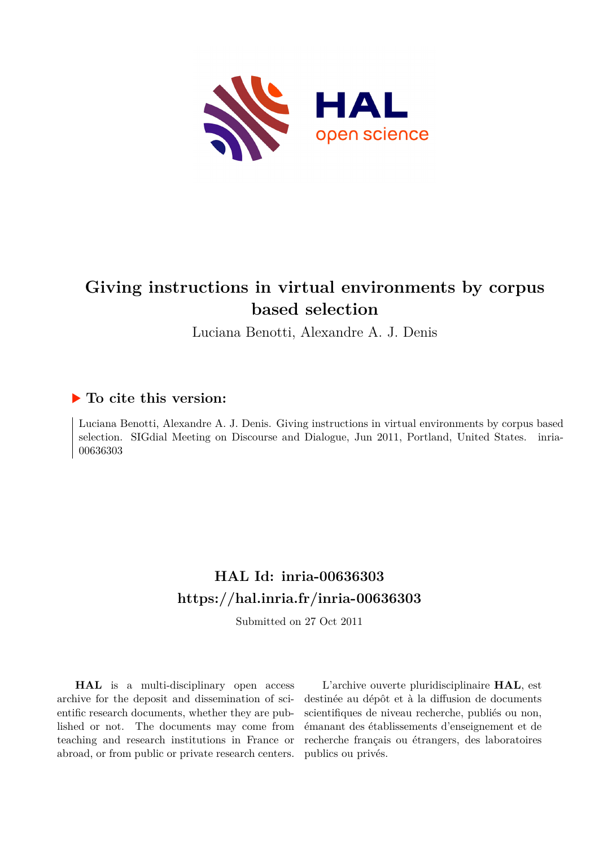

# **Giving instructions in virtual environments by corpus based selection**

Luciana Benotti, Alexandre A. J. Denis

## **To cite this version:**

Luciana Benotti, Alexandre A. J. Denis. Giving instructions in virtual environments by corpus based selection. SIGdial Meeting on Discourse and Dialogue, Jun 2011, Portland, United States. inria-00636303

## **HAL Id: inria-00636303 <https://hal.inria.fr/inria-00636303>**

Submitted on 27 Oct 2011

**HAL** is a multi-disciplinary open access archive for the deposit and dissemination of scientific research documents, whether they are published or not. The documents may come from teaching and research institutions in France or abroad, or from public or private research centers.

L'archive ouverte pluridisciplinaire **HAL**, est destinée au dépôt et à la diffusion de documents scientifiques de niveau recherche, publiés ou non, émanant des établissements d'enseignement et de recherche français ou étrangers, des laboratoires publics ou privés.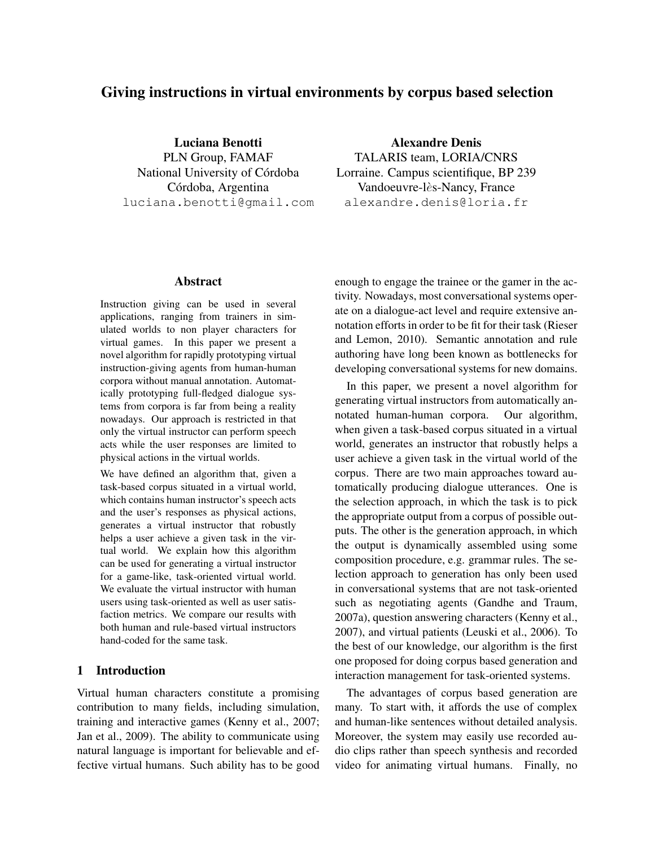## Giving instructions in virtual environments by corpus based selection

Luciana Benotti PLN Group, FAMAF National University of Córdoba Córdoba, Argentina luciana.benotti@gmail.com

#### Abstract

Instruction giving can be used in several applications, ranging from trainers in simulated worlds to non player characters for virtual games. In this paper we present a novel algorithm for rapidly prototyping virtual instruction-giving agents from human-human corpora without manual annotation. Automatically prototyping full-fledged dialogue systems from corpora is far from being a reality nowadays. Our approach is restricted in that only the virtual instructor can perform speech acts while the user responses are limited to physical actions in the virtual worlds.

We have defined an algorithm that, given a task-based corpus situated in a virtual world, which contains human instructor's speech acts and the user's responses as physical actions, generates a virtual instructor that robustly helps a user achieve a given task in the virtual world. We explain how this algorithm can be used for generating a virtual instructor for a game-like, task-oriented virtual world. We evaluate the virtual instructor with human users using task-oriented as well as user satisfaction metrics. We compare our results with both human and rule-based virtual instructors hand-coded for the same task.

## 1 Introduction

Virtual human characters constitute a promising contribution to many fields, including simulation, training and interactive games (Kenny et al., 2007; Jan et al., 2009). The ability to communicate using natural language is important for believable and effective virtual humans. Such ability has to be good

Alexandre Denis TALARIS team, LORIA/CNRS

Lorraine. Campus scientifique, BP 239 Vandoeuvre-lès-Nancy, France alexandre.denis@loria.fr

enough to engage the trainee or the gamer in the activity. Nowadays, most conversational systems operate on a dialogue-act level and require extensive annotation efforts in order to be fit for their task (Rieser and Lemon, 2010). Semantic annotation and rule authoring have long been known as bottlenecks for developing conversational systems for new domains.

In this paper, we present a novel algorithm for generating virtual instructors from automatically annotated human-human corpora. Our algorithm, when given a task-based corpus situated in a virtual world, generates an instructor that robustly helps a user achieve a given task in the virtual world of the corpus. There are two main approaches toward automatically producing dialogue utterances. One is the selection approach, in which the task is to pick the appropriate output from a corpus of possible outputs. The other is the generation approach, in which the output is dynamically assembled using some composition procedure, e.g. grammar rules. The selection approach to generation has only been used in conversational systems that are not task-oriented such as negotiating agents (Gandhe and Traum, 2007a), question answering characters (Kenny et al., 2007), and virtual patients (Leuski et al., 2006). To the best of our knowledge, our algorithm is the first one proposed for doing corpus based generation and interaction management for task-oriented systems.

The advantages of corpus based generation are many. To start with, it affords the use of complex and human-like sentences without detailed analysis. Moreover, the system may easily use recorded audio clips rather than speech synthesis and recorded video for animating virtual humans. Finally, no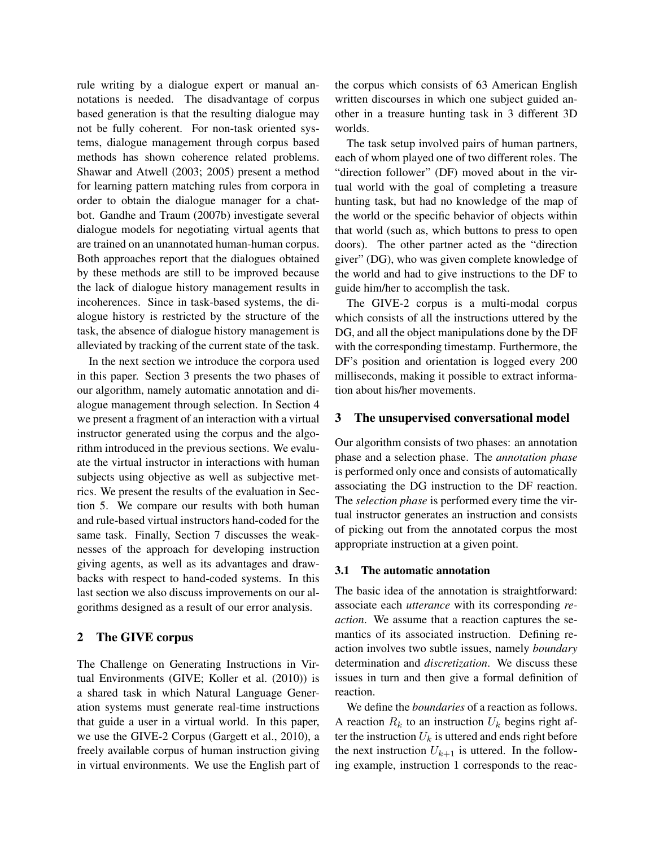rule writing by a dialogue expert or manual annotations is needed. The disadvantage of corpus based generation is that the resulting dialogue may not be fully coherent. For non-task oriented systems, dialogue management through corpus based methods has shown coherence related problems. Shawar and Atwell (2003; 2005) present a method for learning pattern matching rules from corpora in order to obtain the dialogue manager for a chatbot. Gandhe and Traum (2007b) investigate several dialogue models for negotiating virtual agents that are trained on an unannotated human-human corpus. Both approaches report that the dialogues obtained by these methods are still to be improved because the lack of dialogue history management results in incoherences. Since in task-based systems, the dialogue history is restricted by the structure of the task, the absence of dialogue history management is alleviated by tracking of the current state of the task.

In the next section we introduce the corpora used in this paper. Section 3 presents the two phases of our algorithm, namely automatic annotation and dialogue management through selection. In Section 4 we present a fragment of an interaction with a virtual instructor generated using the corpus and the algorithm introduced in the previous sections. We evaluate the virtual instructor in interactions with human subjects using objective as well as subjective metrics. We present the results of the evaluation in Section 5. We compare our results with both human and rule-based virtual instructors hand-coded for the same task. Finally, Section 7 discusses the weaknesses of the approach for developing instruction giving agents, as well as its advantages and drawbacks with respect to hand-coded systems. In this last section we also discuss improvements on our algorithms designed as a result of our error analysis.

### 2 The GIVE corpus

The Challenge on Generating Instructions in Virtual Environments (GIVE; Koller et al. (2010)) is a shared task in which Natural Language Generation systems must generate real-time instructions that guide a user in a virtual world. In this paper, we use the GIVE-2 Corpus (Gargett et al., 2010), a freely available corpus of human instruction giving in virtual environments. We use the English part of the corpus which consists of 63 American English written discourses in which one subject guided another in a treasure hunting task in 3 different 3D worlds.

The task setup involved pairs of human partners, each of whom played one of two different roles. The "direction follower" (DF) moved about in the virtual world with the goal of completing a treasure hunting task, but had no knowledge of the map of the world or the specific behavior of objects within that world (such as, which buttons to press to open doors). The other partner acted as the "direction giver" (DG), who was given complete knowledge of the world and had to give instructions to the DF to guide him/her to accomplish the task.

The GIVE-2 corpus is a multi-modal corpus which consists of all the instructions uttered by the DG, and all the object manipulations done by the DF with the corresponding timestamp. Furthermore, the DF's position and orientation is logged every 200 milliseconds, making it possible to extract information about his/her movements.

#### 3 The unsupervised conversational model

Our algorithm consists of two phases: an annotation phase and a selection phase. The *annotation phase* is performed only once and consists of automatically associating the DG instruction to the DF reaction. The *selection phase* is performed every time the virtual instructor generates an instruction and consists of picking out from the annotated corpus the most appropriate instruction at a given point.

#### 3.1 The automatic annotation

The basic idea of the annotation is straightforward: associate each *utterance* with its corresponding *reaction*. We assume that a reaction captures the semantics of its associated instruction. Defining reaction involves two subtle issues, namely *boundary* determination and *discretization*. We discuss these issues in turn and then give a formal definition of reaction.

We define the *boundaries* of a reaction as follows. A reaction  $R_k$  to an instruction  $U_k$  begins right after the instruction  $U_k$  is uttered and ends right before the next instruction  $U_{k+1}$  is uttered. In the following example, instruction 1 corresponds to the reac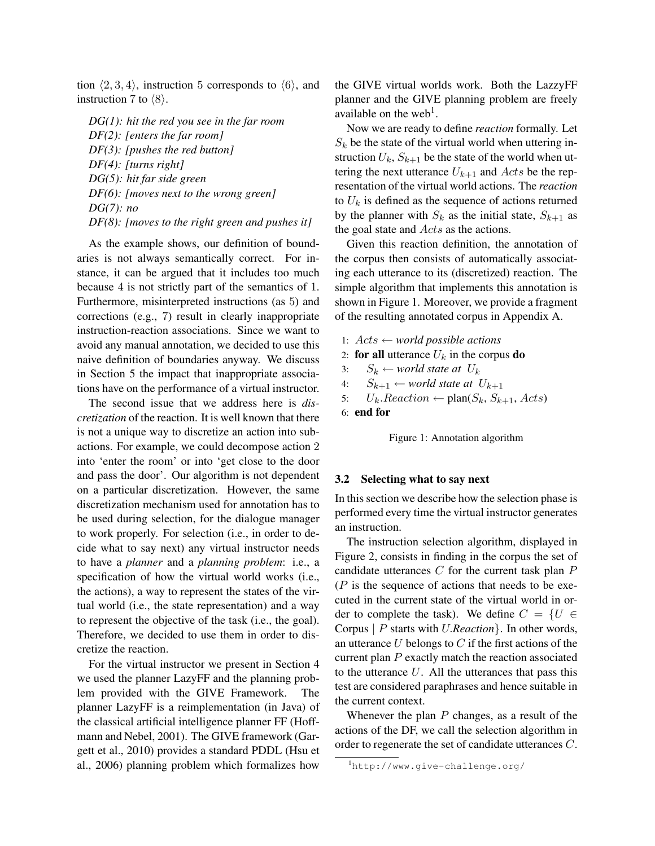tion  $\langle 2, 3, 4 \rangle$ , instruction 5 corresponds to  $\langle 6 \rangle$ , and instruction 7 to  $\langle 8 \rangle$ .

*DG(1): hit the red you see in the far room DF(2): [enters the far room] DF(3): [pushes the red button] DF(4): [turns right] DG(5): hit far side green DF(6): [moves next to the wrong green] DG(7): no DF(8): [moves to the right green and pushes it]*

As the example shows, our definition of boundaries is not always semantically correct. For instance, it can be argued that it includes too much because 4 is not strictly part of the semantics of 1. Furthermore, misinterpreted instructions (as 5) and corrections (e.g., 7) result in clearly inappropriate instruction-reaction associations. Since we want to avoid any manual annotation, we decided to use this naive definition of boundaries anyway. We discuss in Section 5 the impact that inappropriate associations have on the performance of a virtual instructor.

The second issue that we address here is *discretization* of the reaction. It is well known that there is not a unique way to discretize an action into subactions. For example, we could decompose action 2 into 'enter the room' or into 'get close to the door and pass the door'. Our algorithm is not dependent on a particular discretization. However, the same discretization mechanism used for annotation has to be used during selection, for the dialogue manager to work properly. For selection (i.e., in order to decide what to say next) any virtual instructor needs to have a *planner* and a *planning problem*: i.e., a specification of how the virtual world works (i.e., the actions), a way to represent the states of the virtual world (i.e., the state representation) and a way to represent the objective of the task (i.e., the goal). Therefore, we decided to use them in order to discretize the reaction.

For the virtual instructor we present in Section 4 we used the planner LazyFF and the planning problem provided with the GIVE Framework. The planner LazyFF is a reimplementation (in Java) of the classical artificial intelligence planner FF (Hoffmann and Nebel, 2001). The GIVE framework (Gargett et al., 2010) provides a standard PDDL (Hsu et al., 2006) planning problem which formalizes how

the GIVE virtual worlds work. Both the LazzyFF planner and the GIVE planning problem are freely available on the web<sup>1</sup>.

Now we are ready to define *reaction* formally. Let  $S_k$  be the state of the virtual world when uttering instruction  $U_k$ ,  $S_{k+1}$  be the state of the world when uttering the next utterance  $U_{k+1}$  and Acts be the representation of the virtual world actions. The *reaction* to  $U_k$  is defined as the sequence of actions returned by the planner with  $S_k$  as the initial state,  $S_{k+1}$  as the goal state and *Acts* as the actions.

Given this reaction definition, the annotation of the corpus then consists of automatically associating each utterance to its (discretized) reaction. The simple algorithm that implements this annotation is shown in Figure 1. Moreover, we provide a fragment of the resulting annotated corpus in Appendix A.

1: Acts ← *world possible actions* 2: for all utterance  $U_k$  in the corpus do 3:  $S_k \leftarrow$  *world state at*  $U_k$ 4:  $S_{k+1} \leftarrow$  *world state at*  $U_{k+1}$ 5:  $U_k$ . Reaction  $\leftarrow$  plan( $S_k$ ,  $S_{k+1}$ , Acts) 6: end for

Figure 1: Annotation algorithm

#### 3.2 Selecting what to say next

In this section we describe how the selection phase is performed every time the virtual instructor generates an instruction.

The instruction selection algorithm, displayed in Figure 2, consists in finding in the corpus the set of candidate utterances  $C$  for the current task plan  $P$  $(P$  is the sequence of actions that needs to be executed in the current state of the virtual world in order to complete the task). We define  $C = \{U \in$ Corpus | P starts with U.*Reaction*}. In other words, an utterance  $U$  belongs to  $C$  if the first actions of the current plan P exactly match the reaction associated to the utterance  $U$ . All the utterances that pass this test are considered paraphrases and hence suitable in the current context.

Whenever the plan  $P$  changes, as a result of the actions of the DF, we call the selection algorithm in order to regenerate the set of candidate utterances C.

<sup>1</sup>http://www.give-challenge.org/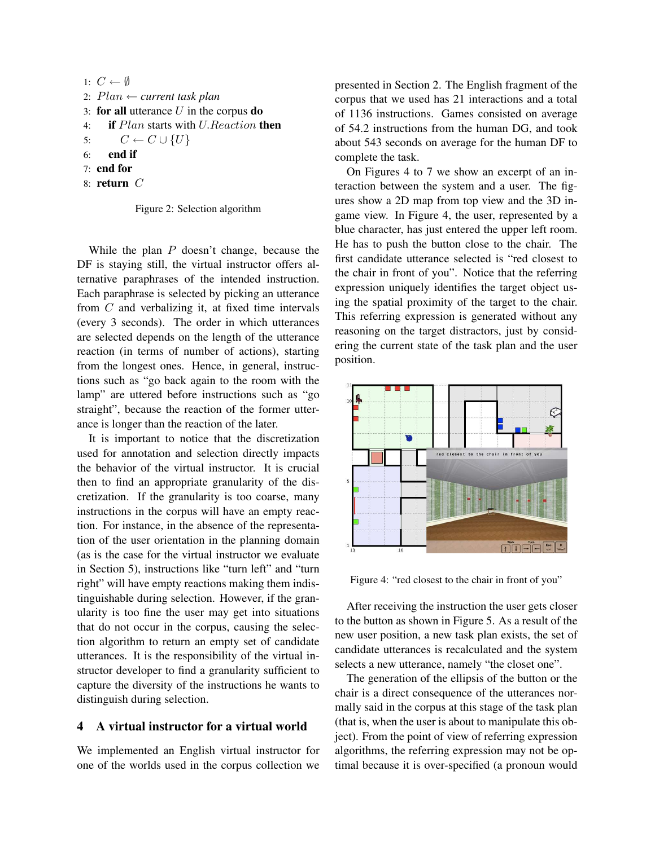1:  $C \leftarrow \emptyset$ 2: Plan ← *current task plan* 3: for all utterance  $U$  in the corpus do 4: **if** Plan starts with U.Reaction then 5:  $C \leftarrow C \cup \{U\}$ 6: end if 7: end for 8: return C

Figure 2: Selection algorithm

While the plan P doesn't change, because the DF is staying still, the virtual instructor offers alternative paraphrases of the intended instruction. Each paraphrase is selected by picking an utterance from C and verbalizing it, at fixed time intervals (every 3 seconds). The order in which utterances are selected depends on the length of the utterance reaction (in terms of number of actions), starting from the longest ones. Hence, in general, instructions such as "go back again to the room with the lamp" are uttered before instructions such as "go straight", because the reaction of the former utterance is longer than the reaction of the later.

It is important to notice that the discretization used for annotation and selection directly impacts the behavior of the virtual instructor. It is crucial then to find an appropriate granularity of the discretization. If the granularity is too coarse, many instructions in the corpus will have an empty reaction. For instance, in the absence of the representation of the user orientation in the planning domain (as is the case for the virtual instructor we evaluate in Section 5), instructions like "turn left" and "turn right" will have empty reactions making them indistinguishable during selection. However, if the granularity is too fine the user may get into situations that do not occur in the corpus, causing the selection algorithm to return an empty set of candidate utterances. It is the responsibility of the virtual instructor developer to find a granularity sufficient to capture the diversity of the instructions he wants to distinguish during selection.

### 4 A virtual instructor for a virtual world

We implemented an English virtual instructor for one of the worlds used in the corpus collection we presented in Section 2. The English fragment of the corpus that we used has 21 interactions and a total of 1136 instructions. Games consisted on average of 54.2 instructions from the human DG, and took about 543 seconds on average for the human DF to complete the task.

On Figures 4 to 7 we show an excerpt of an interaction between the system and a user. The figures show a 2D map from top view and the 3D ingame view. In Figure 4, the user, represented by a blue character, has just entered the upper left room. He has to push the button close to the chair. The first candidate utterance selected is "red closest to the chair in front of you". Notice that the referring expression uniquely identifies the target object using the spatial proximity of the target to the chair. This referring expression is generated without any reasoning on the target distractors, just by considering the current state of the task plan and the user position.



Figure 4: "red closest to the chair in front of you"

After receiving the instruction the user gets closer to the button as shown in Figure 5. As a result of the new user position, a new task plan exists, the set of candidate utterances is recalculated and the system selects a new utterance, namely "the closet one".

The generation of the ellipsis of the button or the chair is a direct consequence of the utterances normally said in the corpus at this stage of the task plan (that is, when the user is about to manipulate this object). From the point of view of referring expression algorithms, the referring expression may not be optimal because it is over-specified (a pronoun would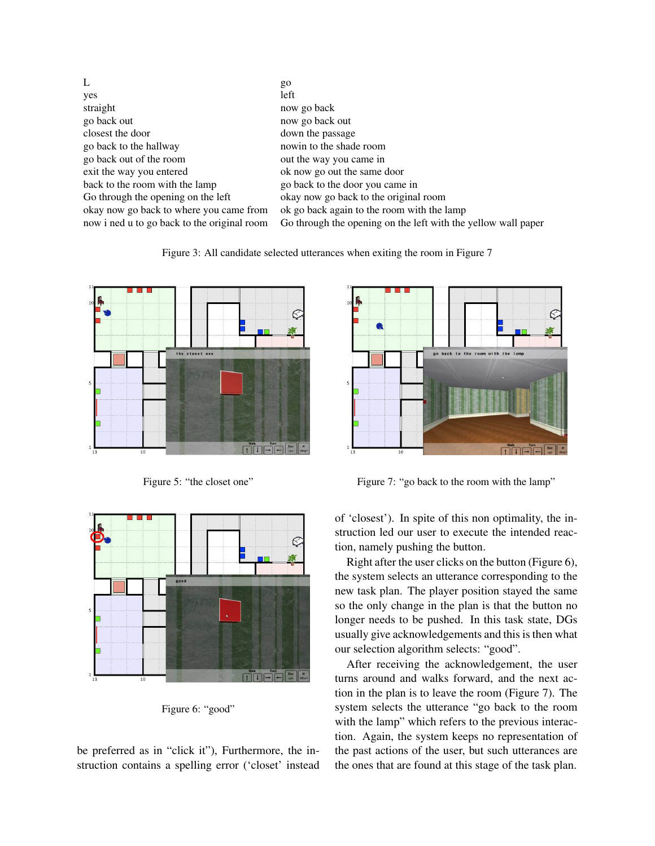| L                                           | go                                                            |
|---------------------------------------------|---------------------------------------------------------------|
| yes                                         | left                                                          |
| straight                                    | now go back                                                   |
| go back out                                 | now go back out                                               |
| closest the door                            | down the passage                                              |
| go back to the hallway                      | nowin to the shade room                                       |
| go back out of the room                     | out the way you came in                                       |
| exit the way you entered                    | ok now go out the same door                                   |
| back to the room with the lamp              | go back to the door you came in                               |
| Go through the opening on the left          | okay now go back to the original room                         |
| okay now go back to where you came from     | ok go back again to the room with the lamp                    |
| now i ned u to go back to the original room | Go through the opening on the left with the yellow wall paper |

Figure 3: All candidate selected utterances when exiting the room in Figure 7



Figure 5: "the closet one"



Figure 6: "good"

be preferred as in "click it"), Furthermore, the instruction contains a spelling error ('closet' instead



Figure 7: "go back to the room with the lamp"

of 'closest'). In spite of this non optimality, the instruction led our user to execute the intended reaction, namely pushing the button.

Right after the user clicks on the button (Figure 6), the system selects an utterance corresponding to the new task plan. The player position stayed the same so the only change in the plan is that the button no longer needs to be pushed. In this task state, DGs usually give acknowledgements and this is then what our selection algorithm selects: "good".

After receiving the acknowledgement, the user turns around and walks forward, and the next action in the plan is to leave the room (Figure 7). The system selects the utterance "go back to the room with the lamp" which refers to the previous interaction. Again, the system keeps no representation of the past actions of the user, but such utterances are the ones that are found at this stage of the task plan.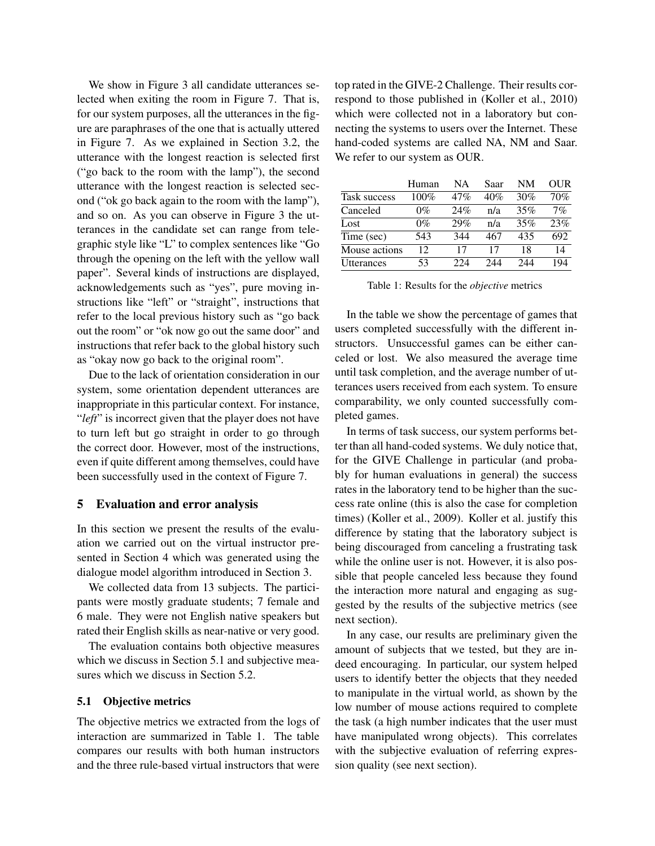We show in Figure 3 all candidate utterances selected when exiting the room in Figure 7. That is, for our system purposes, all the utterances in the figure are paraphrases of the one that is actually uttered in Figure 7. As we explained in Section 3.2, the utterance with the longest reaction is selected first ("go back to the room with the lamp"), the second utterance with the longest reaction is selected second ("ok go back again to the room with the lamp"), and so on. As you can observe in Figure 3 the utterances in the candidate set can range from telegraphic style like "L" to complex sentences like "Go through the opening on the left with the yellow wall paper". Several kinds of instructions are displayed, acknowledgements such as "yes", pure moving instructions like "left" or "straight", instructions that refer to the local previous history such as "go back out the room" or "ok now go out the same door" and instructions that refer back to the global history such as "okay now go back to the original room".

Due to the lack of orientation consideration in our system, some orientation dependent utterances are inappropriate in this particular context. For instance, "*left*" is incorrect given that the player does not have to turn left but go straight in order to go through the correct door. However, most of the instructions, even if quite different among themselves, could have been successfully used in the context of Figure 7.

#### 5 Evaluation and error analysis

In this section we present the results of the evaluation we carried out on the virtual instructor presented in Section 4 which was generated using the dialogue model algorithm introduced in Section 3.

We collected data from 13 subjects. The participants were mostly graduate students; 7 female and 6 male. They were not English native speakers but rated their English skills as near-native or very good.

The evaluation contains both objective measures which we discuss in Section 5.1 and subjective measures which we discuss in Section 5.2.

#### 5.1 Objective metrics

The objective metrics we extracted from the logs of interaction are summarized in Table 1. The table compares our results with both human instructors and the three rule-based virtual instructors that were

top rated in the GIVE-2 Challenge. Their results correspond to those published in (Koller et al., 2010) which were collected not in a laboratory but connecting the systems to users over the Internet. These hand-coded systems are called NA, NM and Saar. We refer to our system as OUR.

|                   | Human | NA  | Saar | NΜ  | OUR |
|-------------------|-------|-----|------|-----|-----|
| Task success      | 100%  | 47% | 40%  | 30% | 70% |
| Canceled          | $0\%$ | 24% | n/a  | 35% | 7%  |
| Lost              | $0\%$ | 29% | n/a  | 35% | 23% |
| Time (sec)        | 543   | 344 | 467  | 435 | 692 |
| Mouse actions     | 12.   | 17  | 17   | 18  | 14  |
| <b>Utterances</b> | 53    | 224 | 244  | 244 | 194 |

Table 1: Results for the *objective* metrics

In the table we show the percentage of games that users completed successfully with the different instructors. Unsuccessful games can be either canceled or lost. We also measured the average time until task completion, and the average number of utterances users received from each system. To ensure comparability, we only counted successfully completed games.

In terms of task success, our system performs better than all hand-coded systems. We duly notice that, for the GIVE Challenge in particular (and probably for human evaluations in general) the success rates in the laboratory tend to be higher than the success rate online (this is also the case for completion times) (Koller et al., 2009). Koller et al. justify this difference by stating that the laboratory subject is being discouraged from canceling a frustrating task while the online user is not. However, it is also possible that people canceled less because they found the interaction more natural and engaging as suggested by the results of the subjective metrics (see next section).

In any case, our results are preliminary given the amount of subjects that we tested, but they are indeed encouraging. In particular, our system helped users to identify better the objects that they needed to manipulate in the virtual world, as shown by the low number of mouse actions required to complete the task (a high number indicates that the user must have manipulated wrong objects). This correlates with the subjective evaluation of referring expression quality (see next section).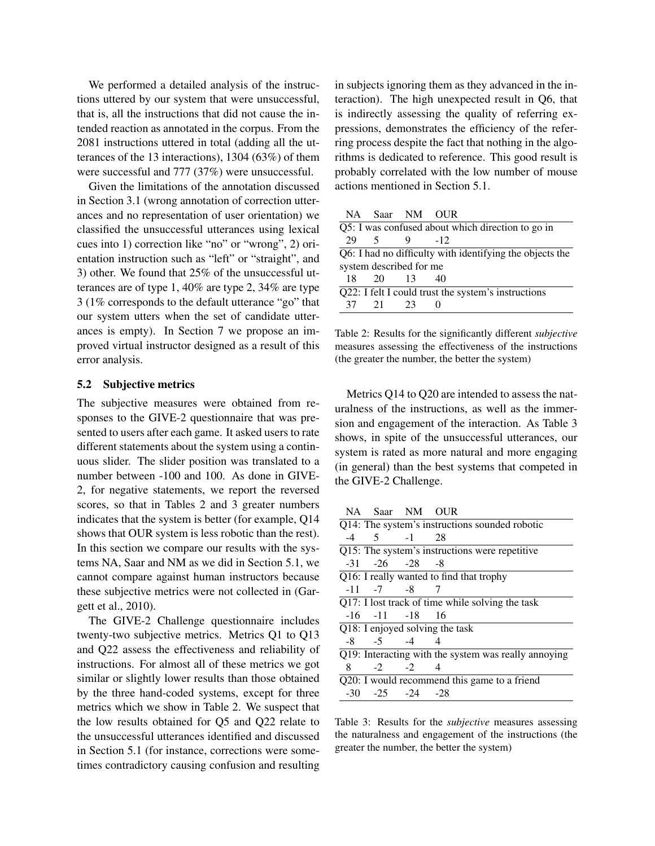We performed a detailed analysis of the instructions uttered by our system that were unsuccessful, that is, all the instructions that did not cause the intended reaction as annotated in the corpus. From the 2081 instructions uttered in total (adding all the utterances of the 13 interactions), 1304 (63%) of them were successful and 777 (37%) were unsuccessful.

Given the limitations of the annotation discussed in Section 3.1 (wrong annotation of correction utterances and no representation of user orientation) we classified the unsuccessful utterances using lexical cues into 1) correction like "no" or "wrong", 2) orientation instruction such as "left" or "straight", and 3) other. We found that 25% of the unsuccessful utterances are of type 1, 40% are type 2, 34% are type 3 (1% corresponds to the default utterance "go" that our system utters when the set of candidate utterances is empty). In Section 7 we propose an improved virtual instructor designed as a result of this error analysis.

#### 5.2 Subjective metrics

The subjective measures were obtained from responses to the GIVE-2 questionnaire that was presented to users after each game. It asked users to rate different statements about the system using a continuous slider. The slider position was translated to a number between -100 and 100. As done in GIVE-2, for negative statements, we report the reversed scores, so that in Tables 2 and 3 greater numbers indicates that the system is better (for example, Q14 shows that OUR system is less robotic than the rest). In this section we compare our results with the systems NA, Saar and NM as we did in Section 5.1, we cannot compare against human instructors because these subjective metrics were not collected in (Gargett et al., 2010).

The GIVE-2 Challenge questionnaire includes twenty-two subjective metrics. Metrics Q1 to Q13 and Q22 assess the effectiveness and reliability of instructions. For almost all of these metrics we got similar or slightly lower results than those obtained by the three hand-coded systems, except for three metrics which we show in Table 2. We suspect that the low results obtained for Q5 and Q22 relate to the unsuccessful utterances identified and discussed in Section 5.1 (for instance, corrections were sometimes contradictory causing confusion and resulting in subjects ignoring them as they advanced in the interaction). The high unexpected result in Q6, that is indirectly assessing the quality of referring expressions, demonstrates the efficiency of the referring process despite the fact that nothing in the algorithms is dedicated to reference. This good result is probably correlated with the low number of mouse actions mentioned in Section 5.1.

| Q5: I was confused about which direction to go in   |      |                                                          |  |  |
|-----------------------------------------------------|------|----------------------------------------------------------|--|--|
| $\sim$                                              | 9    | $-12.$                                                   |  |  |
|                                                     |      | Q6: I had no difficulty with identifying the objects the |  |  |
| system described for me                             |      |                                                          |  |  |
| 18 20                                               |      | 40                                                       |  |  |
| Q22: I felt I could trust the system's instructions |      |                                                          |  |  |
| 21                                                  | - 23 |                                                          |  |  |
|                                                     |      | NA Saar NM OUR<br>- 13                                   |  |  |

Table 2: Results for the significantly different *subjective* measures assessing the effectiveness of the instructions (the greater the number, the better the system)

Metrics Q14 to Q20 are intended to assess the naturalness of the instructions, as well as the immersion and engagement of the interaction. As Table 3 shows, in spite of the unsuccessful utterances, our system is rated as more natural and more engaging (in general) than the best systems that competed in the GIVE-2 Challenge.

NA Saar NM OUR Q14: The system's instructions sounded robotic -4 5 -1 28 Q15: The system's instructions were repetitive -31 -26 -28 -8 Q16: I really wanted to find that trophy -11 -7 -8 7 Q17: I lost track of time while solving the task -16 -11 -18 16 Q18: I enjoyed solving the task  $-8$   $-5$   $-4$   $4$ Q19: Interacting with the system was really annoying 8 -2 -2 4 Q20: I would recommend this game to a friend -30 -25 -24 -28

Table 3: Results for the *subjective* measures assessing the naturalness and engagement of the instructions (the greater the number, the better the system)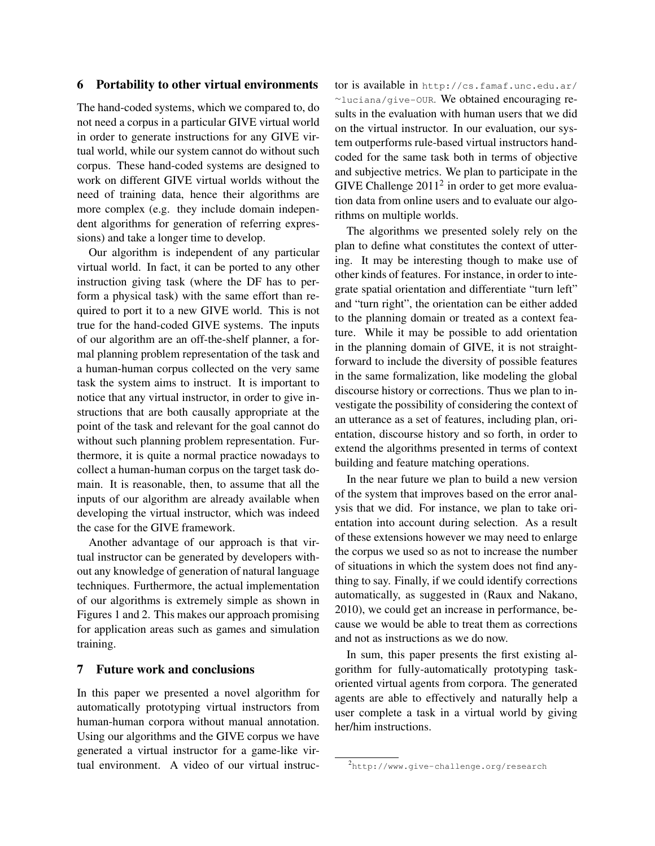#### 6 Portability to other virtual environments

The hand-coded systems, which we compared to, do not need a corpus in a particular GIVE virtual world in order to generate instructions for any GIVE virtual world, while our system cannot do without such corpus. These hand-coded systems are designed to work on different GIVE virtual worlds without the need of training data, hence their algorithms are more complex (e.g. they include domain independent algorithms for generation of referring expressions) and take a longer time to develop.

Our algorithm is independent of any particular virtual world. In fact, it can be ported to any other instruction giving task (where the DF has to perform a physical task) with the same effort than required to port it to a new GIVE world. This is not true for the hand-coded GIVE systems. The inputs of our algorithm are an off-the-shelf planner, a formal planning problem representation of the task and a human-human corpus collected on the very same task the system aims to instruct. It is important to notice that any virtual instructor, in order to give instructions that are both causally appropriate at the point of the task and relevant for the goal cannot do without such planning problem representation. Furthermore, it is quite a normal practice nowadays to collect a human-human corpus on the target task domain. It is reasonable, then, to assume that all the inputs of our algorithm are already available when developing the virtual instructor, which was indeed the case for the GIVE framework.

Another advantage of our approach is that virtual instructor can be generated by developers without any knowledge of generation of natural language techniques. Furthermore, the actual implementation of our algorithms is extremely simple as shown in Figures 1 and 2. This makes our approach promising for application areas such as games and simulation training.

## 7 Future work and conclusions

In this paper we presented a novel algorithm for automatically prototyping virtual instructors from human-human corpora without manual annotation. Using our algorithms and the GIVE corpus we have generated a virtual instructor for a game-like virtual environment. A video of our virtual instructor is available in http://cs.famaf.unc.edu.ar/ <sup>∼</sup>luciana/give-OUR. We obtained encouraging results in the evaluation with human users that we did on the virtual instructor. In our evaluation, our system outperforms rule-based virtual instructors handcoded for the same task both in terms of objective and subjective metrics. We plan to participate in the GIVE Challenge  $2011<sup>2</sup>$  in order to get more evaluation data from online users and to evaluate our algorithms on multiple worlds.

The algorithms we presented solely rely on the plan to define what constitutes the context of uttering. It may be interesting though to make use of other kinds of features. For instance, in order to integrate spatial orientation and differentiate "turn left" and "turn right", the orientation can be either added to the planning domain or treated as a context feature. While it may be possible to add orientation in the planning domain of GIVE, it is not straightforward to include the diversity of possible features in the same formalization, like modeling the global discourse history or corrections. Thus we plan to investigate the possibility of considering the context of an utterance as a set of features, including plan, orientation, discourse history and so forth, in order to extend the algorithms presented in terms of context building and feature matching operations.

In the near future we plan to build a new version of the system that improves based on the error analysis that we did. For instance, we plan to take orientation into account during selection. As a result of these extensions however we may need to enlarge the corpus we used so as not to increase the number of situations in which the system does not find anything to say. Finally, if we could identify corrections automatically, as suggested in (Raux and Nakano, 2010), we could get an increase in performance, because we would be able to treat them as corrections and not as instructions as we do now.

In sum, this paper presents the first existing algorithm for fully-automatically prototyping taskoriented virtual agents from corpora. The generated agents are able to effectively and naturally help a user complete a task in a virtual world by giving her/him instructions.

<sup>2</sup> http://www.give-challenge.org/research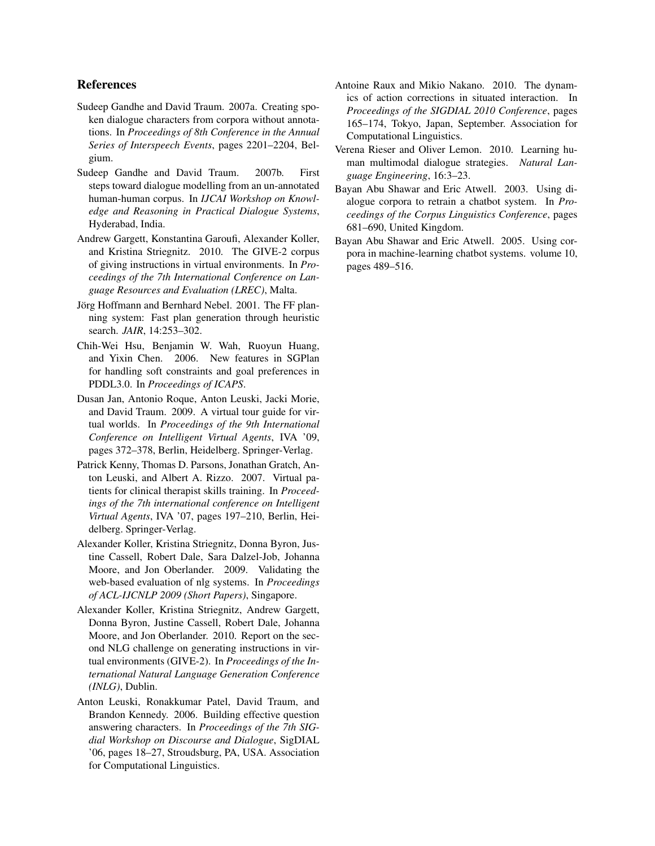### References

- Sudeep Gandhe and David Traum. 2007a. Creating spoken dialogue characters from corpora without annotations. In *Proceedings of 8th Conference in the Annual Series of Interspeech Events*, pages 2201–2204, Belgium.
- Sudeep Gandhe and David Traum. 2007b. First steps toward dialogue modelling from an un-annotated human-human corpus. In *IJCAI Workshop on Knowledge and Reasoning in Practical Dialogue Systems*, Hyderabad, India.
- Andrew Gargett, Konstantina Garoufi, Alexander Koller, and Kristina Striegnitz. 2010. The GIVE-2 corpus of giving instructions in virtual environments. In *Proceedings of the 7th International Conference on Language Resources and Evaluation (LREC)*, Malta.
- Jörg Hoffmann and Bernhard Nebel. 2001. The FF planning system: Fast plan generation through heuristic search. *JAIR*, 14:253–302.
- Chih-Wei Hsu, Benjamin W. Wah, Ruoyun Huang, and Yixin Chen. 2006. New features in SGPlan for handling soft constraints and goal preferences in PDDL3.0. In *Proceedings of ICAPS*.
- Dusan Jan, Antonio Roque, Anton Leuski, Jacki Morie, and David Traum. 2009. A virtual tour guide for virtual worlds. In *Proceedings of the 9th International Conference on Intelligent Virtual Agents*, IVA '09, pages 372–378, Berlin, Heidelberg. Springer-Verlag.
- Patrick Kenny, Thomas D. Parsons, Jonathan Gratch, Anton Leuski, and Albert A. Rizzo. 2007. Virtual patients for clinical therapist skills training. In *Proceedings of the 7th international conference on Intelligent Virtual Agents*, IVA '07, pages 197–210, Berlin, Heidelberg. Springer-Verlag.
- Alexander Koller, Kristina Striegnitz, Donna Byron, Justine Cassell, Robert Dale, Sara Dalzel-Job, Johanna Moore, and Jon Oberlander. 2009. Validating the web-based evaluation of nlg systems. In *Proceedings of ACL-IJCNLP 2009 (Short Papers)*, Singapore.
- Alexander Koller, Kristina Striegnitz, Andrew Gargett, Donna Byron, Justine Cassell, Robert Dale, Johanna Moore, and Jon Oberlander. 2010. Report on the second NLG challenge on generating instructions in virtual environments (GIVE-2). In *Proceedings of the International Natural Language Generation Conference (INLG)*, Dublin.
- Anton Leuski, Ronakkumar Patel, David Traum, and Brandon Kennedy. 2006. Building effective question answering characters. In *Proceedings of the 7th SIGdial Workshop on Discourse and Dialogue*, SigDIAL '06, pages 18–27, Stroudsburg, PA, USA. Association for Computational Linguistics.
- Antoine Raux and Mikio Nakano. 2010. The dynamics of action corrections in situated interaction. In *Proceedings of the SIGDIAL 2010 Conference*, pages 165–174, Tokyo, Japan, September. Association for Computational Linguistics.
- Verena Rieser and Oliver Lemon. 2010. Learning human multimodal dialogue strategies. *Natural Language Engineering*, 16:3–23.
- Bayan Abu Shawar and Eric Atwell. 2003. Using dialogue corpora to retrain a chatbot system. In *Proceedings of the Corpus Linguistics Conference*, pages 681–690, United Kingdom.
- Bayan Abu Shawar and Eric Atwell. 2005. Using corpora in machine-learning chatbot systems. volume 10, pages 489–516.